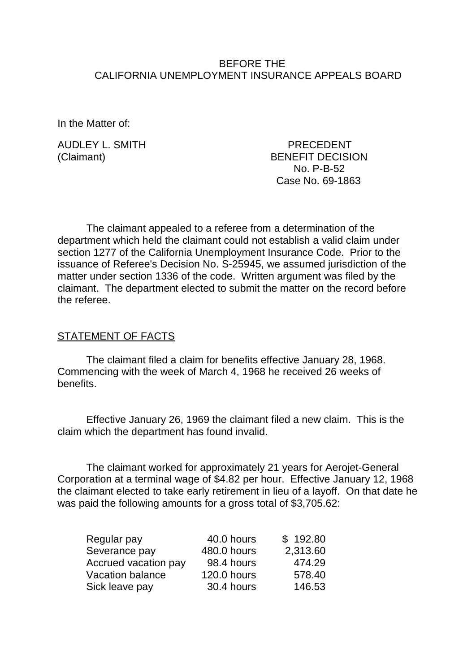## BEFORE THE CALIFORNIA UNEMPLOYMENT INSURANCE APPEALS BOARD

In the Matter of:

AUDLEY L. SMITH PRECEDENT

(Claimant) BENEFIT DECISION No. P-B-52 Case No. 69-1863

The claimant appealed to a referee from a determination of the department which held the claimant could not establish a valid claim under section 1277 of the California Unemployment Insurance Code. Prior to the issuance of Referee's Decision No. S-25945, we assumed jurisdiction of the matter under section 1336 of the code. Written argument was filed by the claimant. The department elected to submit the matter on the record before the referee.

#### STATEMENT OF FACTS

The claimant filed a claim for benefits effective January 28, 1968. Commencing with the week of March 4, 1968 he received 26 weeks of benefits.

Effective January 26, 1969 the claimant filed a new claim. This is the claim which the department has found invalid.

The claimant worked for approximately 21 years for Aerojet-General Corporation at a terminal wage of \$4.82 per hour. Effective January 12, 1968 the claimant elected to take early retirement in lieu of a layoff. On that date he was paid the following amounts for a gross total of \$3,705.62:

| Regular pay                 | 40.0 hours  | \$192.80 |
|-----------------------------|-------------|----------|
| Severance pay               | 480.0 hours | 2,313.60 |
| <b>Accrued vacation pay</b> | 98.4 hours  | 474.29   |
| <b>Vacation balance</b>     | 120.0 hours | 578.40   |
| Sick leave pay              | 30.4 hours  | 146.53   |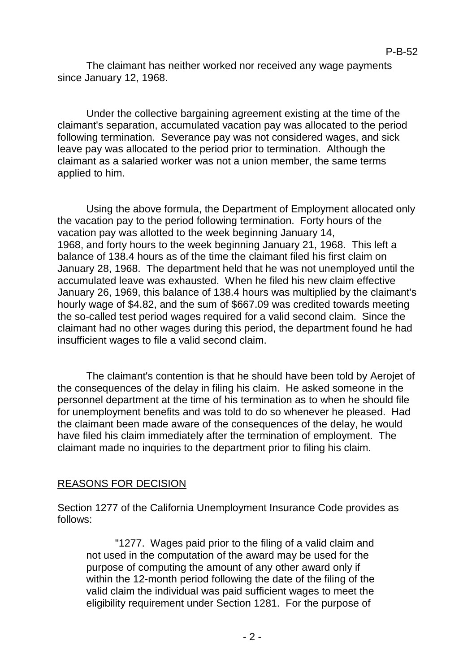The claimant has neither worked nor received any wage payments since January 12, 1968.

Under the collective bargaining agreement existing at the time of the claimant's separation, accumulated vacation pay was allocated to the period following termination. Severance pay was not considered wages, and sick leave pay was allocated to the period prior to termination. Although the claimant as a salaried worker was not a union member, the same terms applied to him.

Using the above formula, the Department of Employment allocated only the vacation pay to the period following termination. Forty hours of the vacation pay was allotted to the week beginning January 14, 1968, and forty hours to the week beginning January 21, 1968. This left a balance of 138.4 hours as of the time the claimant filed his first claim on January 28, 1968. The department held that he was not unemployed until the accumulated leave was exhausted. When he filed his new claim effective January 26, 1969, this balance of 138.4 hours was multiplied by the claimant's hourly wage of \$4.82, and the sum of \$667.09 was credited towards meeting the so-called test period wages required for a valid second claim. Since the claimant had no other wages during this period, the department found he had insufficient wages to file a valid second claim.

The claimant's contention is that he should have been told by Aerojet of the consequences of the delay in filing his claim. He asked someone in the personnel department at the time of his termination as to when he should file for unemployment benefits and was told to do so whenever he pleased. Had the claimant been made aware of the consequences of the delay, he would have filed his claim immediately after the termination of employment. The claimant made no inquiries to the department prior to filing his claim.

# REASONS FOR DECISION

Section 1277 of the California Unemployment Insurance Code provides as follows:

"1277. Wages paid prior to the filing of a valid claim and not used in the computation of the award may be used for the purpose of computing the amount of any other award only if within the 12-month period following the date of the filing of the valid claim the individual was paid sufficient wages to meet the eligibility requirement under Section 1281. For the purpose of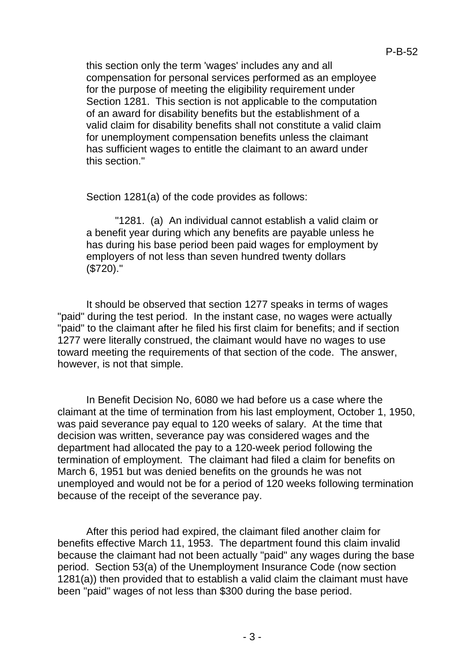this section only the term 'wages' includes any and all compensation for personal services performed as an employee for the purpose of meeting the eligibility requirement under Section 1281. This section is not applicable to the computation of an award for disability benefits but the establishment of a valid claim for disability benefits shall not constitute a valid claim for unemployment compensation benefits unless the claimant has sufficient wages to entitle the claimant to an award under this section."

Section 1281(a) of the code provides as follows:

"1281. (a) An individual cannot establish a valid claim or a benefit year during which any benefits are payable unless he has during his base period been paid wages for employment by employers of not less than seven hundred twenty dollars (\$720)."

It should be observed that section 1277 speaks in terms of wages "paid" during the test period. In the instant case, no wages were actually "paid" to the claimant after he filed his first claim for benefits; and if section 1277 were literally construed, the claimant would have no wages to use toward meeting the requirements of that section of the code. The answer, however, is not that simple.

In Benefit Decision No, 6080 we had before us a case where the claimant at the time of termination from his last employment, October 1, 1950, was paid severance pay equal to 120 weeks of salary. At the time that decision was written, severance pay was considered wages and the department had allocated the pay to a 120-week period following the termination of employment. The claimant had filed a claim for benefits on March 6, 1951 but was denied benefits on the grounds he was not unemployed and would not be for a period of 120 weeks following termination because of the receipt of the severance pay.

After this period had expired, the claimant filed another claim for benefits effective March 11, 1953. The department found this claim invalid because the claimant had not been actually "paid" any wages during the base period. Section 53(a) of the Unemployment Insurance Code (now section 1281(a)) then provided that to establish a valid claim the claimant must have been "paid" wages of not less than \$300 during the base period.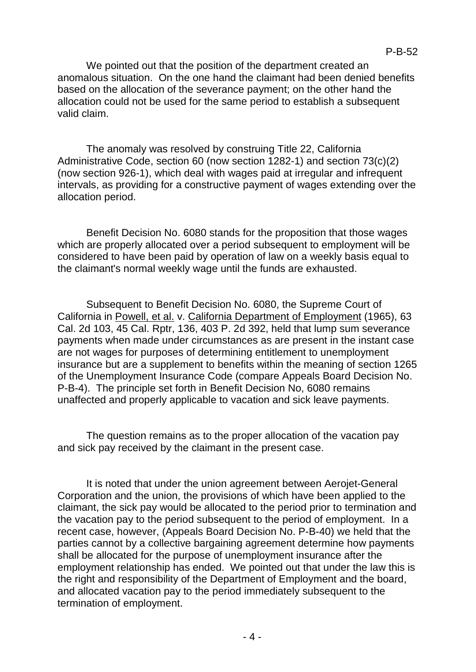We pointed out that the position of the department created an anomalous situation. On the one hand the claimant had been denied benefits based on the allocation of the severance payment; on the other hand the allocation could not be used for the same period to establish a subsequent valid claim.

The anomaly was resolved by construing Title 22, California Administrative Code, section 60 (now section 1282-1) and section 73(c)(2) (now section 926-1), which deal with wages paid at irregular and infrequent intervals, as providing for a constructive payment of wages extending over the allocation period.

Benefit Decision No. 6080 stands for the proposition that those wages which are properly allocated over a period subsequent to employment will be considered to have been paid by operation of law on a weekly basis equal to the claimant's normal weekly wage until the funds are exhausted.

Subsequent to Benefit Decision No. 6080, the Supreme Court of California in Powell, et al. v. California Department of Employment (1965), 63 Cal. 2d 103, 45 Cal. Rptr, 136, 403 P. 2d 392, held that lump sum severance payments when made under circumstances as are present in the instant case are not wages for purposes of determining entitlement to unemployment insurance but are a supplement to benefits within the meaning of section 1265 of the Unemployment Insurance Code (compare Appeals Board Decision No. P-B-4). The principle set forth in Benefit Decision No, 6080 remains unaffected and properly applicable to vacation and sick leave payments.

The question remains as to the proper allocation of the vacation pay and sick pay received by the claimant in the present case.

It is noted that under the union agreement between Aerojet-General Corporation and the union, the provisions of which have been applied to the claimant, the sick pay would be allocated to the period prior to termination and the vacation pay to the period subsequent to the period of employment. In a recent case, however, (Appeals Board Decision No. P-B-40) we held that the parties cannot by a collective bargaining agreement determine how payments shall be allocated for the purpose of unemployment insurance after the employment relationship has ended. We pointed out that under the law this is the right and responsibility of the Department of Employment and the board, and allocated vacation pay to the period immediately subsequent to the termination of employment.